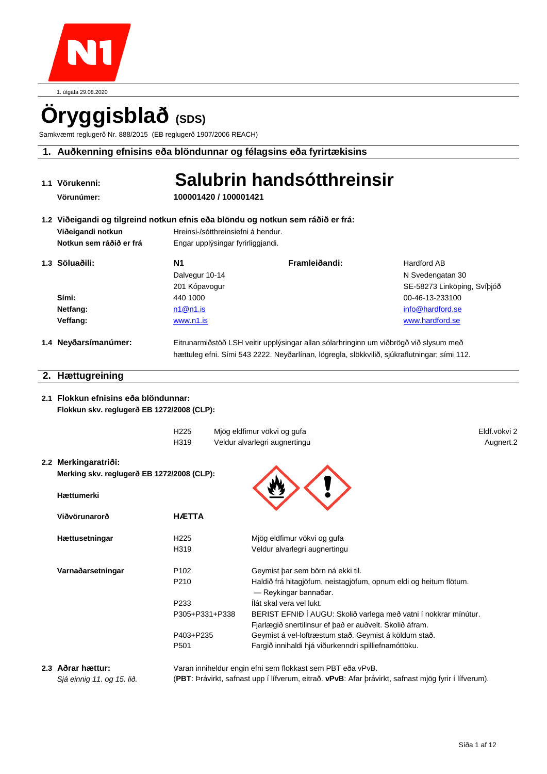

1. útgáfa 29.08.2020

# **Öryggisblað (SDS)**

Samkvæmt reglugerð Nr. 888/2015 (EB reglugerð 1907/2006 REACH)

#### **1. Auðkenning efnisins eða blöndunnar og félagsins eða fyrirtækisins**

# **1.1 Vörukenni: Salubrin handsótthreinsir Vörunúmer: 100001420 / 100001421 1.2 Viðeigandi og tilgreind notkun efnis eða blöndu og notkun sem ráðið er frá:** Viðeigandi notkun<br>
Hreinsi-/sótthreinsiefni á hendur. **Notkun sem ráðið er frá** Engar upplýsingar fyrirliggjandi. **1.3 Söluaðili: N1 Framleiðandi:** Hardford AB Dalvegur 10-14 N Svedengatan 30 201 Kópavogur SE-58273 Linköping, Svíþjóð **Sími:** 440 1000 00-46-13-233100 **Netfang:** [n1@n1.is](mailto:n1@n1.is) [info@hardford.se](mailto:info@hardford.se) **Veffang:** www.mt.is www.nntis www.nntis www.nntis [www.hardford.se](http://www.hardford.se/) **1.4 Neyðarsímanúmer:** Eitrunarmiðstöð LSH veitir upplýsingar allan sólarhringinn um viðbrögð við slysum með hættuleg efni. Sími 543 2222. Neyðarlínan, lögregla, slökkvilið, sjúkraflutningar; sími 112.

#### **2. Hættugreining**

**2.1 Flokkun efnisins eða blöndunnar: Flokkun skv. reglugerð EB 1272/2008 (CLP):** 

|                                            | H <sub>225</sub> | Mjög eldfimur vökvi og gufa |                                                                                            | Eldf.vökvi 2 |
|--------------------------------------------|------------------|-----------------------------|--------------------------------------------------------------------------------------------|--------------|
|                                            | H319             |                             | Veldur alvarlegri augnertingu                                                              | Augnert.2    |
| 2.2 Merkingaratriði:                       |                  |                             |                                                                                            |              |
| Merking skv. reglugerð EB 1272/2008 (CLP): |                  |                             |                                                                                            |              |
| <b>Hættumerki</b>                          |                  |                             |                                                                                            |              |
| Viðvörunarorð                              | <b>HÆTTA</b>     |                             |                                                                                            |              |
| Hættusetningar                             | H <sub>225</sub> |                             | Mjög eldfimur vökvi og gufa                                                                |              |
|                                            | H319             |                             | Veldur alvarlegri augnertingu                                                              |              |
| Varnaðarsetningar                          | P <sub>102</sub> |                             | Geymist bar sem börn ná ekki til.                                                          |              |
|                                            | P210             |                             | Haldið frá hitagjöfum, neistagjöfum, opnum eldi og heitum flötum.<br>— Reykingar bannaðar. |              |
|                                            | P <sub>233</sub> |                             | Ílát skal vera vel lukt.                                                                   |              |
|                                            | P305+P331+P338   |                             | BERIST EFNIÐ Í AUGU: Skolið varlega með vatni í nokkrar mínútur.                           |              |
|                                            |                  |                             | Fjarlægið snertilinsur ef það er auðvelt. Skolið áfram.                                    |              |
|                                            | P403+P235        |                             | Geymist á vel-loftræstum stað. Geymist á köldum stað.                                      |              |
|                                            | P <sub>501</sub> |                             | Fargið innihaldi hjá viðurkenndri spilliefnamóttöku.                                       |              |
|                                            |                  |                             |                                                                                            |              |

**2.3 Aðrar hættur:** Varan inniheldur engin efni sem flokkast sem PBT eða vPvB. *Sjá einnig 11. og 15. lið.* (**PBT**: Þrávirkt, safnast upp í lífverum, eitrað. **vPvB**: Afar þrávirkt, safnast mjög fyrir í lífverum).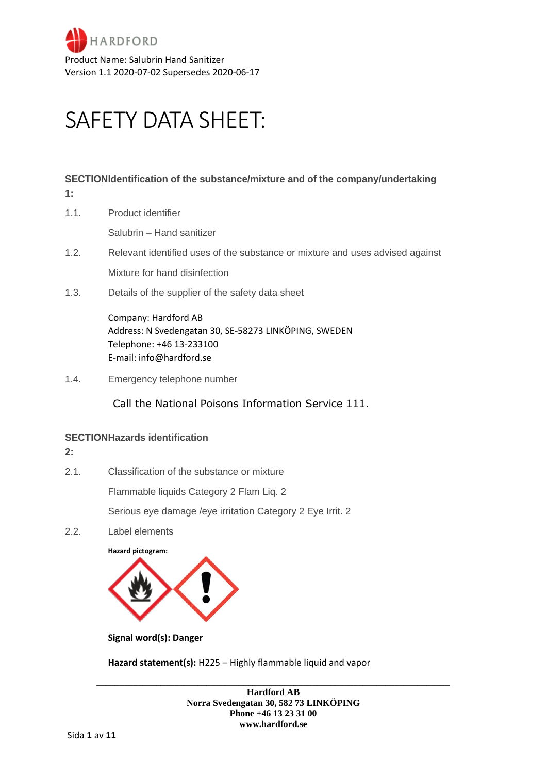

# SAFETY DATA SHEET:

### **SECTIONIdentification of the substance/mixture and of the company/undertaking 1:**

1.1. Product identifier

Salubrin – Hand sanitizer

- 1.2. Relevant identified uses of the substance or mixture and uses advised against Mixture for hand disinfection
- 1.3. Details of the supplier of the safety data sheet

Company: Hardford AB Address: N Svedengatan 30, SE-58273 LINKÖPING, SWEDEN Telephone: +46 13-233100 E-mail: info@hardford.se

1.4. Emergency telephone number

Call the National Poisons Information Service 111.

### **SECTIONHazards identification**

#### **2:**

2.1. Classification of the substance or mixture

Flammable liquids Category 2 Flam Liq. 2

Serious eye damage /eye irritation Category 2 Eye Irrit. 2

2.2. Label elements

**Hazard pictogram:**



**Signal word(s): Danger**

**Hazard statement(s):** H225 – Highly flammable liquid and vapor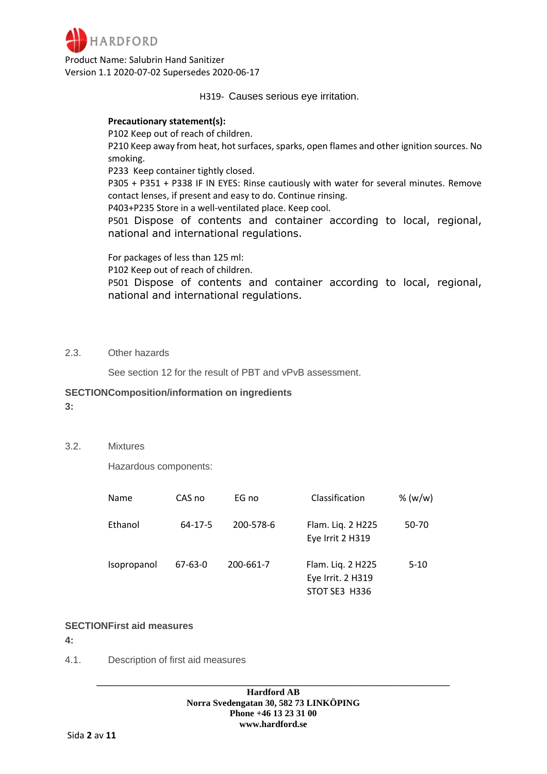

H319- Causes serious eye irritation.

#### **Precautionary statement(s):**

P102 Keep out of reach of children.

P210 Keep away from heat, hot surfaces, sparks, open flames and other ignition sources. No smoking.

P233 Keep container tightly closed.

P305 + P351 + P338 IF IN EYES: Rinse cautiously with water for several minutes. Remove contact lenses, if present and easy to do. Continue rinsing.

P403+P235 Store in a well-ventilated place. Keep cool.

P501 Dispose of contents and container according to local, regional, national and international regulations.

For packages of less than 125 ml:

P102 Keep out of reach of children.

P501 Dispose of contents and container according to local, regional, national and international regulations.

#### 2.3. Other hazards

See section 12 for the result of PBT and vPvB assessment.

#### **SECTIONComposition/information on ingredients**

- **3:**
- 3.2. Mixtures

Hazardous components:

| Name        | CAS no        | EG no     | Classification                                          | % (w/w)  |
|-------------|---------------|-----------|---------------------------------------------------------|----------|
| Ethanol     | $64 - 17 - 5$ | 200-578-6 | Flam. Lig. 2 H225<br>Eye Irrit 2 H319                   | 50-70    |
| Isopropanol | 67-63-0       | 200-661-7 | Flam. Liq. 2 H225<br>Eye Irrit. 2 H319<br>STOT SE3 H336 | $5 - 10$ |

#### **SECTIONFirst aid measures**

**4:**

4.1. Description of first aid measures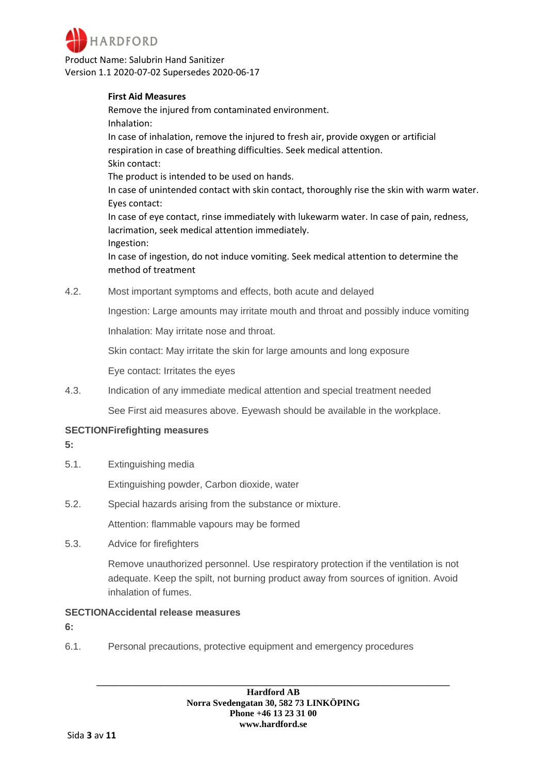

#### **First Aid Measures**

Remove the injured from contaminated environment. Inhalation: In case of inhalation, remove the injured to fresh air, provide oxygen or artificial respiration in case of breathing difficulties. Seek medical attention. Skin contact: The product is intended to be used on hands. In case of unintended contact with skin contact, thoroughly rise the skin with warm water. Eyes contact: In case of eye contact, rinse immediately with lukewarm water. In case of pain, redness, lacrimation, seek medical attention immediately. Ingestion:

In case of ingestion, do not induce vomiting. Seek medical attention to determine the method of treatment

#### 4.2. Most important symptoms and effects, both acute and delayed

Ingestion: Large amounts may irritate mouth and throat and possibly induce vomiting

Inhalation: May irritate nose and throat.

Skin contact: May irritate the skin for large amounts and long exposure

Eye contact: Irritates the eyes

4.3. Indication of any immediate medical attention and special treatment needed See First aid measures above. Eyewash should be available in the workplace.

#### **SECTIONFirefighting measures**

**5:**

5.1. Extinguishing media

Extinguishing powder, Carbon dioxide, water

5.2. Special hazards arising from the substance or mixture.

Attention: flammable vapours may be formed

5.3. Advice for firefighters

Remove unauthorized personnel. Use respiratory protection if the ventilation is not adequate. Keep the spilt, not burning product away from sources of ignition. Avoid inhalation of fumes.

#### **SECTION Accidental release measures**

**6:**

6.1. Personal precautions, protective equipment and emergency procedures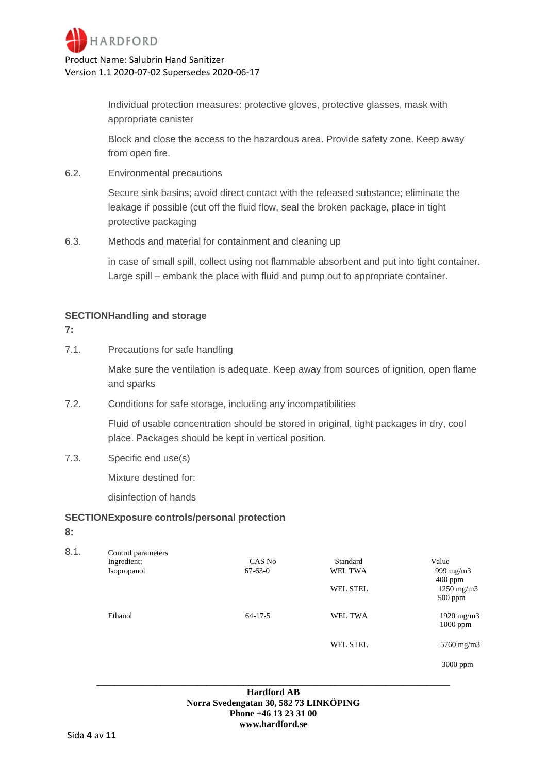Individual protection measures: protective gloves, protective glasses, mask with appropriate canister

Block and close the access to the hazardous area. Provide safety zone. Keep away from open fire.

6.2. Environmental precautions

Secure sink basins; avoid direct contact with the released substance; eliminate the leakage if possible (cut off the fluid flow, seal the broken package, place in tight protective packaging

6.3. Methods and material for containment and cleaning up

in case of small spill, collect using not flammable absorbent and put into tight container. Large spill – embank the place with fluid and pump out to appropriate container.

### **SECTIONHandling and storage**

**7:**

7.1. Precautions for safe handling

Make sure the ventilation is adequate. Keep away from sources of ignition, open flame and sparks

7.2. Conditions for safe storage, including any incompatibilities

Fluid of usable concentration should be stored in original, tight packages in dry, cool place. Packages should be kept in vertical position.

7.3. Specific end use(s)

Mixture destined for:

disinfection of hands

#### **SECTIONExposure controls/personal protection**

**8:**

| 8.1. | Control parameters |               |                 |                                   |
|------|--------------------|---------------|-----------------|-----------------------------------|
|      | Ingredient:        | CAS No        | Standard        | Value                             |
|      | Isopropanol        | $67 - 63 - 0$ | WEL TWA         | 999 mg/m $3$<br>$400$ ppm         |
|      |                    |               | <b>WEL STEL</b> | $1250 \text{ mg/m}$<br>$500$ ppm  |
|      | Ethanol            | $64 - 17 - 5$ | WEL TWA         | $1920 \text{ mg/m}$<br>$1000$ ppm |
|      |                    |               | <b>WEL STEL</b> | 5760 mg/m $3$                     |
|      |                    |               |                 | 3000 ppm                          |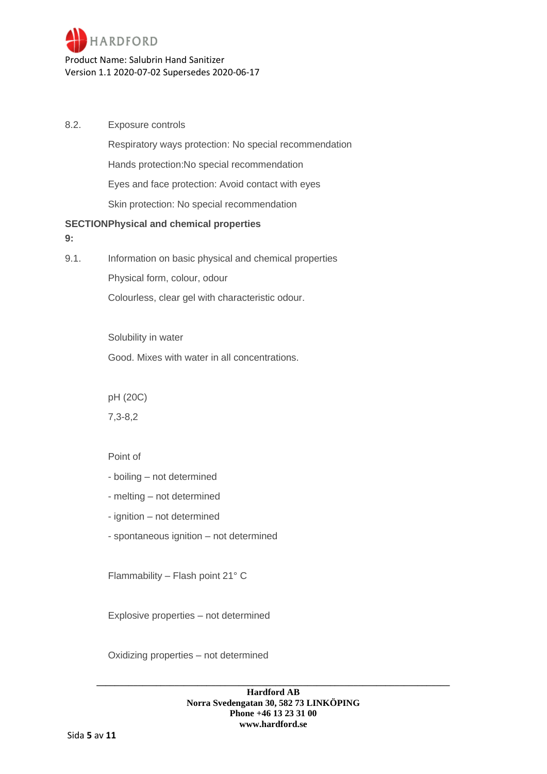

8.2. Exposure controls Respiratory ways protection: No special recommendation Hands protection:No special recommendation Eyes and face protection: Avoid contact with eyes Skin protection: No special recommendation

#### **SECTIONPhysical and chemical properties**

#### **9:**

9.1. Information on basic physical and chemical properties Physical form, colour, odour

Colourless, clear gel with characteristic odour.

Solubility in water

Good. Mixes with water in all concentrations.

pH (20C)

7,3-8,2

#### Point of

- boiling not determined
- melting not determined
- ignition not determined
- spontaneous ignition not determined

Flammability – Flash point 21° C

Explosive properties – not determined

Oxidizing properties – not determined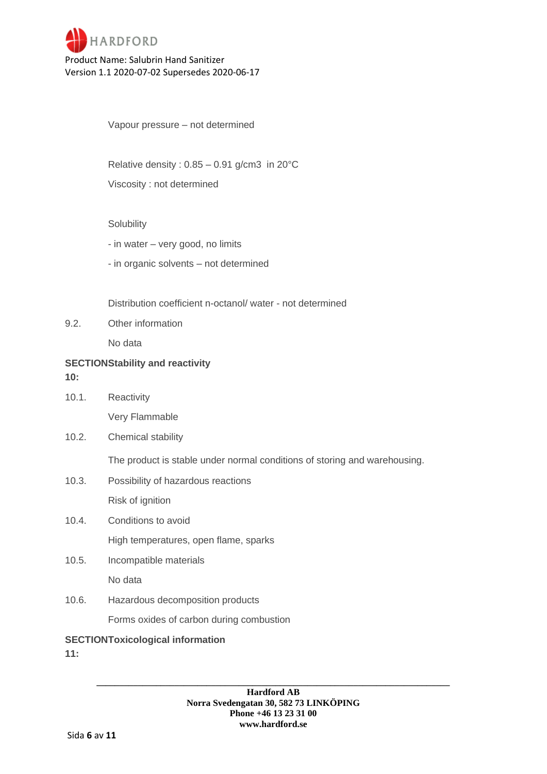

Vapour pressure – not determined

Relative density :  $0.85 - 0.91$  g/cm3 in 20 $^{\circ}$ C

Viscosity : not determined

#### **Solubility**

- in water very good, no limits
- in organic solvents not determined

Distribution coefficient n-octanol/ water - not determined

9.2. Other information

No data

#### **SECTIONStability and reactivity 10:**

10.1. Reactivity

Very Flammable

10.2. Chemical stability

The product is stable under normal conditions of storing and warehousing.

10.3. Possibility of hazardous reactions

Risk of ignition

- 10.4. Conditions to avoid
	- High temperatures, open flame, sparks
- 10.5. Incompatible materials

No data

10.6. Hazardous decomposition products

Forms oxides of carbon during combustion

#### **SECTION Toxicological information**

**11:**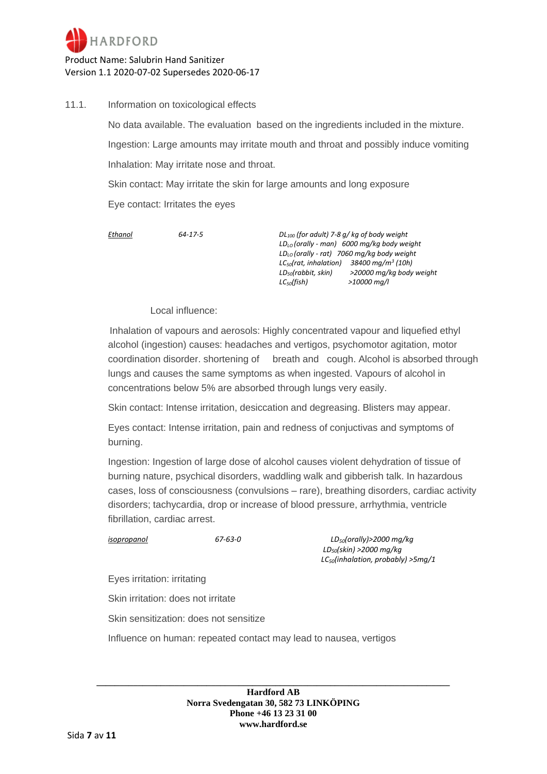

11.1. Information on toxicological effects

No data available. The evaluation based on the ingredients included in the mixture. Ingestion: Large amounts may irritate mouth and throat and possibly induce vomiting Inhalation: May irritate nose and throat.

Skin contact: May irritate the skin for large amounts and long exposure

Eye contact: Irritates the eyes

*Ethanol 64-17-5 DL<sup>100</sup> (for adult) 7-8 g/ kg of body weight LDLO (orally - man) 6000 mg/kg body weight LDLO (orally - rat) 7060 mg/kg body weight LC50(rat, inhalation) 38400 mg/m<sup>3</sup> (10h) LD50(rabbit, skin) >20000 mg/kg body weight LC50(fish) >10000 mg/l*

Local influence:

Inhalation of vapours and aerosols: Highly concentrated vapour and liquefied ethyl alcohol (ingestion) causes: headaches and vertigos, psychomotor agitation, motor coordination disorder. shortening of breath and cough. Alcohol is absorbed through lungs and causes the same symptoms as when ingested. Vapours of alcohol in concentrations below 5% are absorbed through lungs very easily.

Skin contact: Intense irritation, desiccation and degreasing. Blisters may appear.

Eyes contact: Intense irritation, pain and redness of conjuctivas and symptoms of burning.

Ingestion: Ingestion of large dose of alcohol causes violent dehydration of tissue of burning nature, psychical disorders, waddling walk and gibberish talk. In hazardous cases, loss of consciousness (convulsions – rare), breathing disorders, cardiac activity disorders; tachycardia, drop or increase of blood pressure, arrhythmia, ventricle fibrillation, cardiac arrest.

*isopropanol 67-63-0 LD50(orally)>2000 mg/kg LD50(skin) >2000 mg/kg LC50(inhalation, probably) >5mg/1*

Eyes irritation: irritating

Skin irritation: does not irritate

Skin sensitization: does not sensitize

Influence on human: repeated contact may lead to nausea, vertigos

**Hardford AB Norra Svedengatan 30, 582 73 LINKÖPING Phone +46 13 23 31 00 www.hardford.se**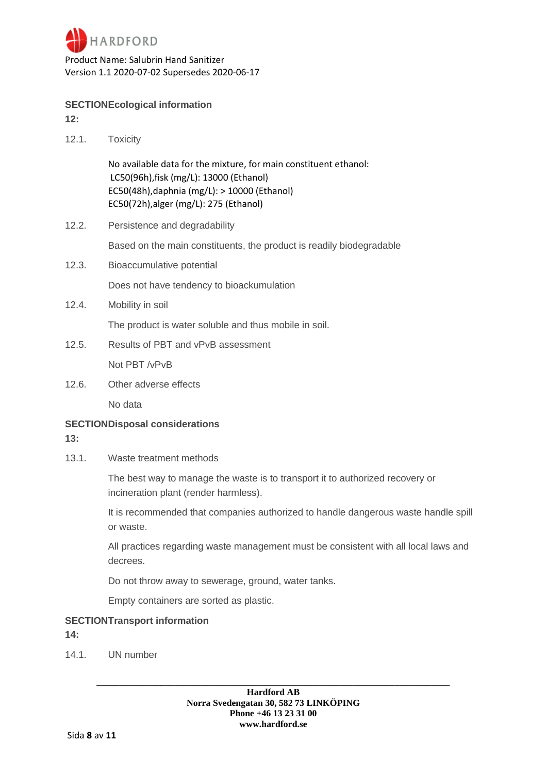#### **SECTIONEcological information**

**12:**

12.1. Toxicity

No available data for the mixture, for main constituent ethanol: LC50(96h),fisk (mg/L): 13000 (Ethanol) EC50(48h),daphnia (mg/L): > 10000 (Ethanol) EC50(72h),alger (mg/L): 275 (Ethanol)

12.2. Persistence and degradability

Based on the main constituents, the product is readily biodegradable

12.3. Bioaccumulative potential

Does not have tendency to bioackumulation

12.4. Mobility in soil

The product is water soluble and thus mobile in soil.

12.5. Results of PBT and vPvB assessment

Not PBT /vPvB

12.6. Other adverse effects

No data

#### **SECTIONDisposal considerations**

**13:**

13.1. Waste treatment methods

The best way to manage the waste is to transport it to authorized recovery or incineration plant (render harmless).

It is recommended that companies authorized to handle dangerous waste handle spill or waste.

All practices regarding waste management must be consistent with all local laws and decrees.

Do not throw away to sewerage, ground, water tanks.

Empty containers are sorted as plastic.

#### **SECTIONTransport information**

**14:**

14.1. UN number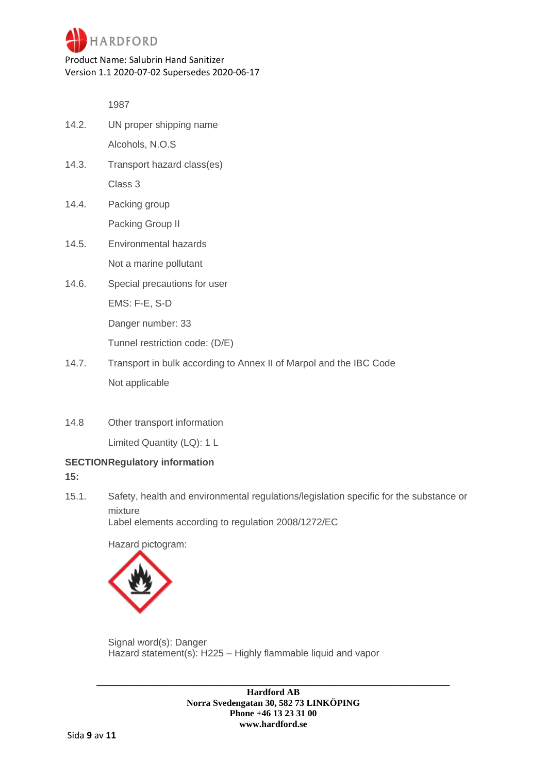

1987

- 14.2. UN proper shipping name Alcohols, N.O.S
- 14.3. Transport hazard class(es) Class 3
- 14.4. Packing group Packing Group II
- 14.5. Environmental hazards Not a marine pollutant
- 14.6. Special precautions for user EMS: F-E, S-D

Danger number: 33

Tunnel restriction code: (D/E)

- 14.7. Transport in bulk according to Annex II of Marpol and the IBC Code Not applicable
- 14.8 Other transport information Limited Quantity (LQ): 1 L

## **SECTION Regulatory information**

**15:**

15.1. Safety, health and environmental regulations/legislation specific for the substance or mixture

Label elements according to regulation 2008/1272/EC

Hazard pictogram:



Signal word(s): Danger Hazard statement(s): H225 – Highly flammable liquid and vapor

> **Hardford AB Norra Svedengatan 30, 582 73 LINKÖPING Phone +46 13 23 31 00 www.hardford.se**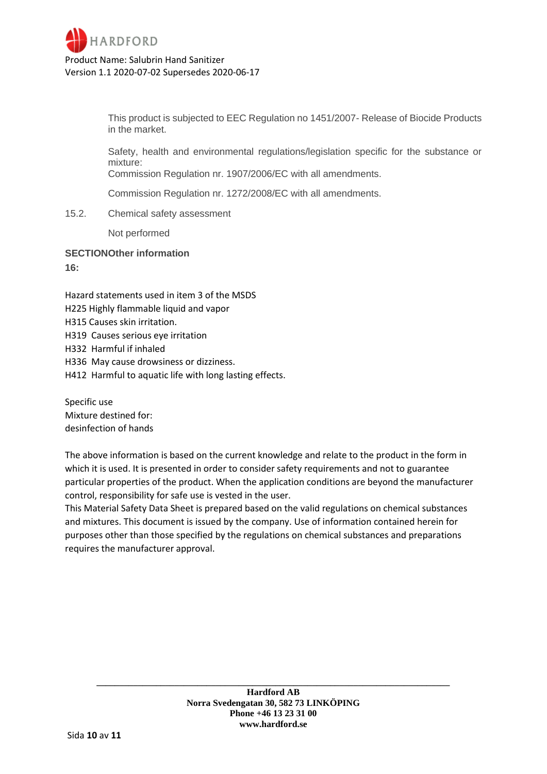This product is subjected to EEC Regulation no 1451/2007- Release of Biocide Products in the market.

Safety, health and environmental regulations/legislation specific for the substance or mixture:

Commission Regulation nr. 1907/2006/EC with all amendments.

Commission Regulation nr. 1272/2008/EC with all amendments.

15.2. Chemical safety assessment

Not performed

# **SECTIONOther information**

**16:**

Hazard statements used in item 3 of the MSDS

- H225 Highly flammable liquid and vapor
- H315 Causes skin irritation.
- H319 Causes serious eye irritation
- H332 Harmful if inhaled
- H336 May cause drowsiness or dizziness.
- H412 Harmful to aquatic life with long lasting effects.

Specific use Mixture destined for: desinfection of hands

The above information is based on the current knowledge and relate to the product in the form in which it is used. It is presented in order to consider safety requirements and not to guarantee particular properties of the product. When the application conditions are beyond the manufacturer control, responsibility for safe use is vested in the user.

This Material Safety Data Sheet is prepared based on the valid regulations on chemical substances and mixtures. This document is issued by the company. Use of information contained herein for purposes other than those specified by the regulations on chemical substances and preparations requires the manufacturer approval.